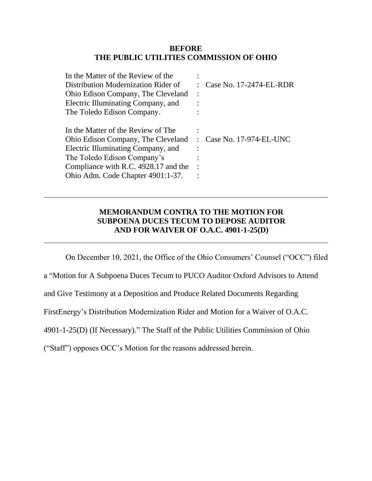#### **BEFORE THE PUBLIC UTILITIES COMMISSION OF OHIO**

| In the Matter of the Review of the   |                         |
|--------------------------------------|-------------------------|
| Distribution Modernization Rider of  | Case No. 17-2474-EL-RDR |
| Ohio Edison Company, The Cleveland   |                         |
| Electric Illuminating Company, and   |                         |
| The Toledo Edison Company.           |                         |
|                                      |                         |
| In the Matter of the Review of The   |                         |
| Ohio Edison Company, The Cleveland   | Case No. 17-974-EL-UNC  |
| Electric Illuminating Company, and   |                         |
| The Toledo Edison Company's          |                         |
| Compliance with R.C. 4928.17 and the |                         |
| Ohio Adm. Code Chapter 4901:1-37.    |                         |
|                                      |                         |

## **MEMORANDUM CONTRA TO THE MOTION FOR SUBPOENA DUCES TECUM TO DEPOSE AUDITOR AND FOR WAIVER OF O.A.C. 4901-1-25(D)**

On December 10, 2021, the Office of the Ohio Consumers' Counsel ("OCC") filed

a "Motion for A Subpoena Duces Tecum to PUCO Auditor Oxford Advisors to Attend

and Give Testimony at a Deposition and Produce Related Documents Regarding

FirstEnergy's Distribution Modernization Rider and Motion for a Waiver of O.A.C.

4901-1-25(D) (If Necessary)." The Staff of the Public Utilities Commission of Ohio

("Staff") opposes OCC's Motion for the reasons addressed herein.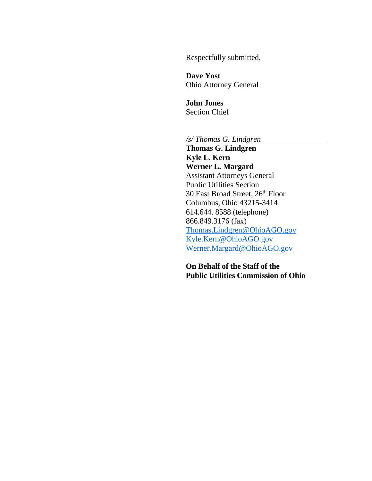Respectfully submitted,

**Dave Yost** Ohio Attorney General

**John Jones** Section Chief

*/s/ Thomas G. Lindgren*

**Thomas G. Lindgren Kyle L. Kern Werner L. Margard** Assistant Attorneys General Public Utilities Section 30 East Broad Street, 26th Floor Columbus, Ohio 43215-3414 614.644. 8588 (telephone) 866.849.3176 (fax) [Thomas.Lindgren@OhioAGO.gov](mailto:Thomas.Lindgren@OhioAGO.gov) [Kyle.Kern@OhioAGO.gov](mailto:Kyle.Kern@OhioAGO.gov) [Werner.Margard@OhioAGO.gov](mailto:Werner.Margard@OhioAGO.gov)

**On Behalf of the Staff of the Public Utilities Commission of Ohio**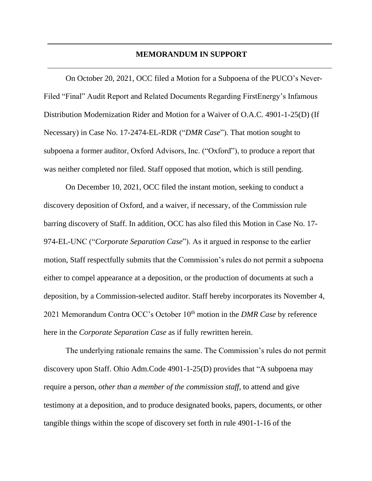### **MEMORANDUM IN SUPPORT**

On October 20, 2021, OCC filed a Motion for a Subpoena of the PUCO's Never-Filed "Final" Audit Report and Related Documents Regarding FirstEnergy's Infamous Distribution Modernization Rider and Motion for a Waiver of O.A.C. 4901-1-25(D) (If Necessary) in Case No. 17-2474-EL-RDR ("*DMR Case*"). That motion sought to subpoena a former auditor, Oxford Advisors, Inc. ("Oxford"), to produce a report that was neither completed nor filed. Staff opposed that motion, which is still pending.

On December 10, 2021, OCC filed the instant motion, seeking to conduct a discovery deposition of Oxford, and a waiver, if necessary, of the Commission rule barring discovery of Staff. In addition, OCC has also filed this Motion in Case No. 17- 974-EL-UNC ("*Corporate Separation Case*"). As it argued in response to the earlier motion, Staff respectfully submits that the Commission's rules do not permit a subpoena either to compel appearance at a deposition, or the production of documents at such a deposition, by a Commission-selected auditor. Staff hereby incorporates its November 4, 2021 Memorandum Contra OCC's October 10<sup>th</sup> motion in the *DMR Case* by reference here in the *Corporate Separation Case* as if fully rewritten herein.

The underlying rationale remains the same. The Commission's rules do not permit discovery upon Staff. Ohio Adm.Code 4901-1-25(D) provides that "A subpoena may require a person, *other than a member of the commission staff*, to attend and give testimony at a deposition, and to produce designated books, papers, documents, or other tangible things within the scope of discovery set forth in rule 4901-1-16 of the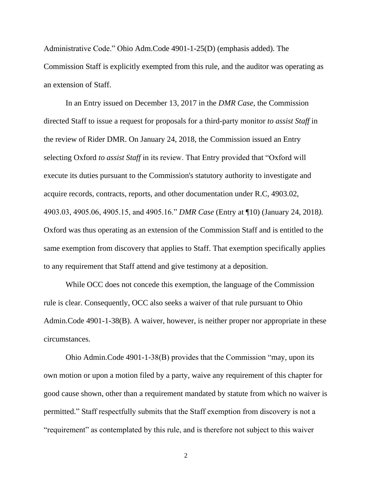Administrative Code." Ohio Adm.Code 4901-1-25(D) (emphasis added). The Commission Staff is explicitly exempted from this rule, and the auditor was operating as an extension of Staff.

In an Entry issued on December 13, 2017 in the *DMR Case*, the Commission directed Staff to issue a request for proposals for a third-party monitor *to assist Staff* in the review of Rider DMR. On January 24, 2018, the Commission issued an Entry selecting Oxford *to assist Staff* in its review. That Entry provided that "Oxford will execute its duties pursuant to the Commission's statutory authority to investigate and acquire records, contracts, reports, and other documentation under R.C, 4903.02, 4903.03, 4905.06, 4905.15, and 4905.16." *DMR Case* (Entry at ¶10) (January 24, 2018*).*  Oxford was thus operating as an extension of the Commission Staff and is entitled to the same exemption from discovery that applies to Staff. That exemption specifically applies to any requirement that Staff attend and give testimony at a deposition.

While OCC does not concede this exemption, the language of the Commission rule is clear. Consequently, OCC also seeks a waiver of that rule pursuant to Ohio Admin.Code 4901-1-38(B). A waiver, however, is neither proper nor appropriate in these circumstances.

Ohio Admin.Code 4901-1-38(B) provides that the Commission "may, upon its own motion or upon a motion filed by a party, waive any requirement of this chapter for good cause shown, other than a requirement mandated by statute from which no waiver is permitted." Staff respectfully submits that the Staff exemption from discovery is not a "requirement" as contemplated by this rule, and is therefore not subject to this waiver

2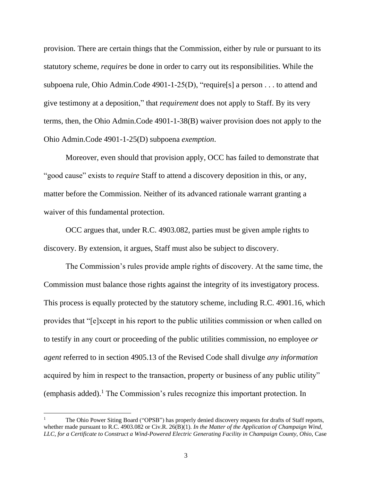provision. There are certain things that the Commission, either by rule or pursuant to its statutory scheme, *requires* be done in order to carry out its responsibilities. While the subpoena rule, Ohio Admin.Code 4901-1-25(D), "require[s] a person . . . to attend and give testimony at a deposition," that *requirement* does not apply to Staff. By its very terms, then, the Ohio Admin.Code 4901-1-38(B) waiver provision does not apply to the Ohio Admin.Code 4901-1-25(D) subpoena *exemption*.

Moreover, even should that provision apply, OCC has failed to demonstrate that "good cause" exists to *require* Staff to attend a discovery deposition in this, or any, matter before the Commission. Neither of its advanced rationale warrant granting a waiver of this fundamental protection.

OCC argues that, under R.C. 4903.082, parties must be given ample rights to discovery. By extension, it argues, Staff must also be subject to discovery.

The Commission's rules provide ample rights of discovery. At the same time, the Commission must balance those rights against the integrity of its investigatory process. This process is equally protected by the statutory scheme, including R.C. 4901.16, which provides that "[e]xcept in his report to the public utilities commission or when called on to testify in any court or proceeding of the public utilities commission, no employee *or agent* referred to in section 4905.13 of the Revised Code shall divulge *any information* acquired by him in respect to the transaction, property or business of any public utility" (emphasis added).<sup>1</sup> The Commission's rules recognize this important protection. In

 $\overline{\phantom{a}}$ 

The Ohio Power Siting Board ("OPSB") has properly denied discovery requests for drafts of Staff reports, whether made pursuant to R.C. 4903.082 or Civ.R. 26(B)(1). *In the Matter of the Application of Champaign Wind, LLC, for a Certificate to Construct a Wind-Powered Electric Generating Facility in Champaign County, Ohio*, Case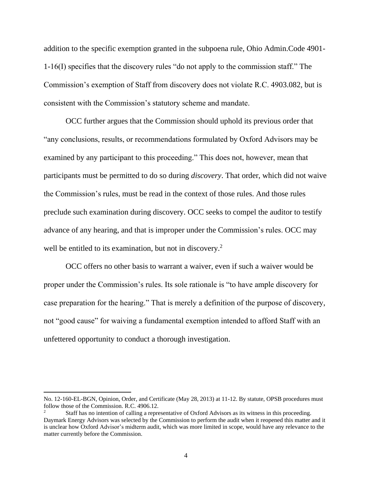addition to the specific exemption granted in the subpoena rule, Ohio Admin.Code 4901- 1-16(I) specifies that the discovery rules "do not apply to the commission staff." The Commission's exemption of Staff from discovery does not violate R.C. 4903.082, but is consistent with the Commission's statutory scheme and mandate.

OCC further argues that the Commission should uphold its previous order that "any conclusions, results, or recommendations formulated by Oxford Advisors may be examined by any participant to this proceeding." This does not, however, mean that participants must be permitted to do so during *discovery*. That order, which did not waive the Commission's rules, must be read in the context of those rules. And those rules preclude such examination during discovery. OCC seeks to compel the auditor to testify advance of any hearing, and that is improper under the Commission's rules. OCC may well be entitled to its examination, but not in discovery.<sup>2</sup>

OCC offers no other basis to warrant a waiver, even if such a waiver would be proper under the Commission's rules. Its sole rationale is "to have ample discovery for case preparation for the hearing." That is merely a definition of the purpose of discovery, not "good cause" for waiving a fundamental exemption intended to afford Staff with an unfettered opportunity to conduct a thorough investigation.

 $\overline{\phantom{a}}$ 

No. 12-160-EL-BGN, Opinion, Order, and Certificate (May 28, 2013) at 11-12. By statute, OPSB procedures must follow those of the Commission. R.C. 4906.12.

<sup>2</sup> Staff has no intention of calling a representative of Oxford Advisors as its witness in this proceeding. Daymark Energy Advisors was selected by the Commission to perform the audit when it reopened this matter and it is unclear how Oxford Advisor's midterm audit, which was more limited in scope, would have any relevance to the matter currently before the Commission.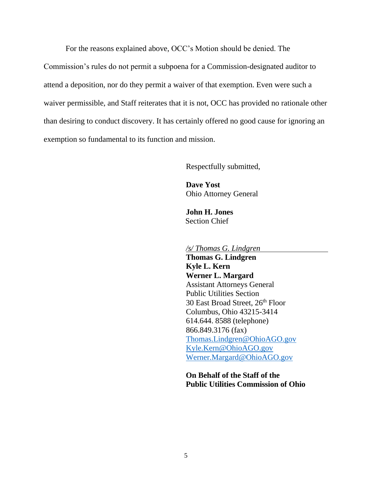For the reasons explained above, OCC's Motion should be denied. The

Commission's rules do not permit a subpoena for a Commission-designated auditor to attend a deposition, nor do they permit a waiver of that exemption. Even were such a waiver permissible, and Staff reiterates that it is not, OCC has provided no rationale other than desiring to conduct discovery. It has certainly offered no good cause for ignoring an exemption so fundamental to its function and mission.

Respectfully submitted,

**Dave Yost** Ohio Attorney General

**John H. Jones** Section Chief

*/s/ Thomas G. Lindgren*

**Thomas G. Lindgren Kyle L. Kern Werner L. Margard** Assistant Attorneys General Public Utilities Section 30 East Broad Street, 26<sup>th</sup> Floor Columbus, Ohio 43215-3414 614.644. 8588 (telephone) 866.849.3176 (fax) [Thomas.Lindgren@OhioAGO.gov](mailto:Thomas.Lindgren@OhioAGO.gov) [Kyle.Kern@OhioAGO.gov](mailto:Kyle.Kern@OhioAGO.gov) [Werner.Margard@OhioAGO.gov](mailto:Werner.Margard@OhioAGO.gov)

**On Behalf of the Staff of the Public Utilities Commission of Ohio**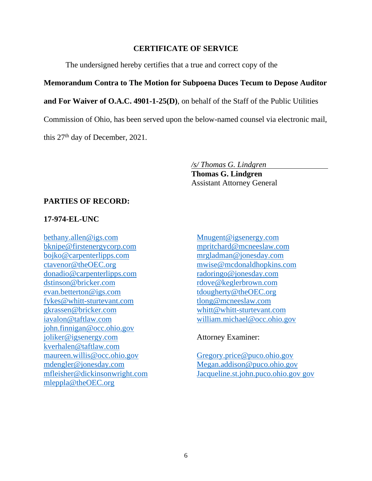### **CERTIFICATE OF SERVICE**

The undersigned hereby certifies that a true and correct copy of the

# **Memorandum Contra to The Motion for Subpoena Duces Tecum to Depose Auditor**

**and For Waiver of O.A.C. 4901-1-25(D)**, on behalf of the Staff of the Public Utilities

Commission of Ohio, has been served upon the below-named counsel via electronic mail,

this 27<sup>th</sup> day of December, 2021.

### */s/ Thomas G. Lindgren*

**Thomas G. Lindgren** Assistant Attorney General

## **PARTIES OF RECORD:**

### **17-974-EL-UNC**

[bethany.allen@igs.com](mailto:bethany.allen@igs.com) bknipe@firstenergycorp.com bojko@carpenterlipps.com ctavenor@theOEC.org donadio@carpenterlipps.com [dstinson@bricker.com](mailto:dstinson@bricker.com) [evan.betterton@igs.com](mailto:evan.betterton@igs.com) [fykes@whitt-sturtevant.com](mailto:fykes@whitt-sturtevant.com) [gkrassen@bricker.com](mailto:gkrassen@bricker.com) iavalon@taftlaw.com john.finnigan@occ.ohio.gov [joliker@igsenergy.com](mailto:joliker@igsenergy.com) kverhalen@taftlaw.com maureen.willis@occ.ohio.gov mdengler@jonesday.com [mfleisher@dickinsonwright.com](mailto:mfleisher@dickinsonwright.com) mleppla@theOEC.org

[Mnugent@igsenergy.com](mailto:Mnugent@igsenergy.com) mpritchard@mcneeslaw.com mrgladman@jonesday.com [mwise@mcdonaldhopkins.com](mailto:mwise@mcdonaldhopkins.com) radoringo@jonesday.com rdove@keglerbrown.com tdougherty@theOEC.org tlong@mcneeslaw.com [whitt@whitt-sturtevant.com](mailto:whitt@whitt-sturtevant.com) william.michael@occ.ohio.gov

## Attorney Examiner:

[Gregory.price@puco.ohio.gov](mailto:Gregory.price@puco.ohio.gov) [Megan.addison@puco.ohio.gov](mailto:Megan.addison@puco.ohio.gov) Jacqueline.st.john.puco.ohio.gov gov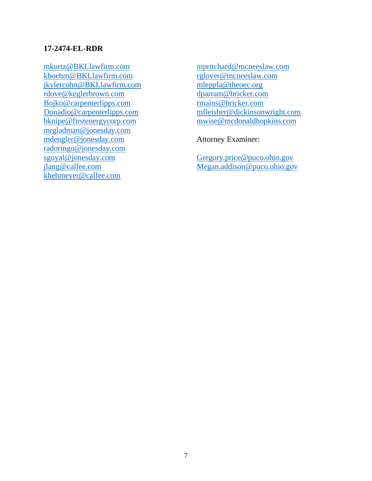### **17-2474-EL-RDR**

mkurtz@BKLlawfirm.com kboehm@BKLlawfirm.com jkylercohn@BKLlawfirm.com rdove@keglerbrown.com Bojko@carpenterlipps.com Donadio@carpenterlipps.com bknipe@firstenergycorp.com mrgladman@jonesday.com mdengler@jonesday.com radoringo@jonesday.com sgoyal@jonesday.com jlang@calfee.com khehmeyer@calfee.com

mpritchard@mcneeslaw.com [rglover@mcneeslaw.com](mailto:rglover@mcneeslaw.com) [mleppla@theoec.org](mailto:mleppla@theoec.org) [dparram@bricker.com](mailto:dparram@bricker.com) [rmains@bricker.com](mailto:rmains@bricker.com) [mfleisher@dickinsonwright.com](mailto:mfleisher@dickinsonwright.com) [mwise@mcdonaldhopkins.com](mailto:mwise@mcdonaldhopkins.com)

Attorney Examiner:

[Gregory.price@puco.ohio.gov](mailto:Gregory.price@puco.ohio.gov) [Megan.addison@puco.ohio.gov](mailto:Megan.addison@puco.ohio.gov)